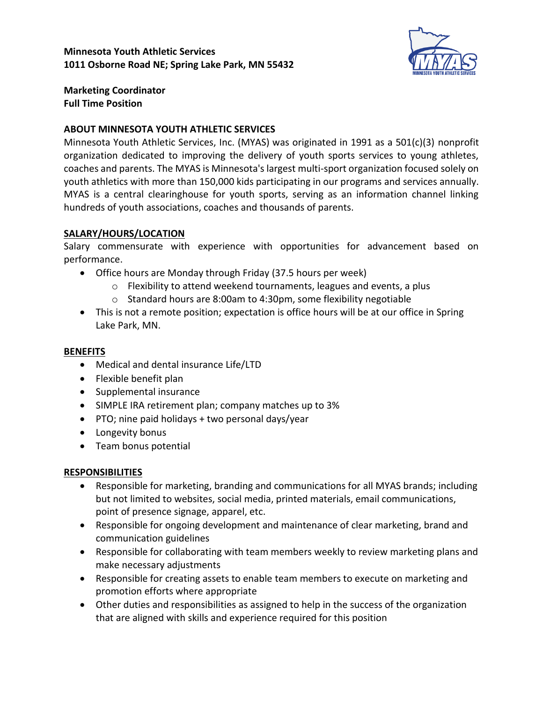

**Marketing Coordinator Full Time Position**

## **ABOUT MINNESOTA YOUTH ATHLETIC SERVICES**

Minnesota Youth Athletic Services, Inc. (MYAS) was originated in 1991 as a 501(c)(3) nonprofit organization dedicated to improving the delivery of youth sports services to young athletes, coaches and parents. The MYAS is Minnesota's largest multi-sport organization focused solely on youth athletics with more than 150,000 kids participating in our programs and services annually. MYAS is a central clearinghouse for youth sports, serving as an information channel linking hundreds of youth associations, coaches and thousands of parents.

## **SALARY/HOURS/LOCATION**

Salary commensurate with experience with opportunities for advancement based on performance.

- Office hours are Monday through Friday (37.5 hours per week)
	- o Flexibility to attend weekend tournaments, leagues and events, a plus
	- o Standard hours are 8:00am to 4:30pm, some flexibility negotiable
- This is not a remote position; expectation is office hours will be at our office in Spring Lake Park, MN.

#### **BENEFITS**

- Medical and dental insurance Life/LTD
- Flexible benefit plan
- Supplemental insurance
- SIMPLE IRA retirement plan; company matches up to 3%
- PTO; nine paid holidays + two personal days/year
- Longevity bonus
- Team bonus potential

#### **RESPONSIBILITIES**

- Responsible for marketing, branding and communications for all MYAS brands; including but not limited to websites, social media, printed materials, email communications, point of presence signage, apparel, etc.
- Responsible for ongoing development and maintenance of clear marketing, brand and communication guidelines
- Responsible for collaborating with team members weekly to review marketing plans and make necessary adjustments
- Responsible for creating assets to enable team members to execute on marketing and promotion efforts where appropriate
- Other duties and responsibilities as assigned to help in the success of the organization that are aligned with skills and experience required for this position